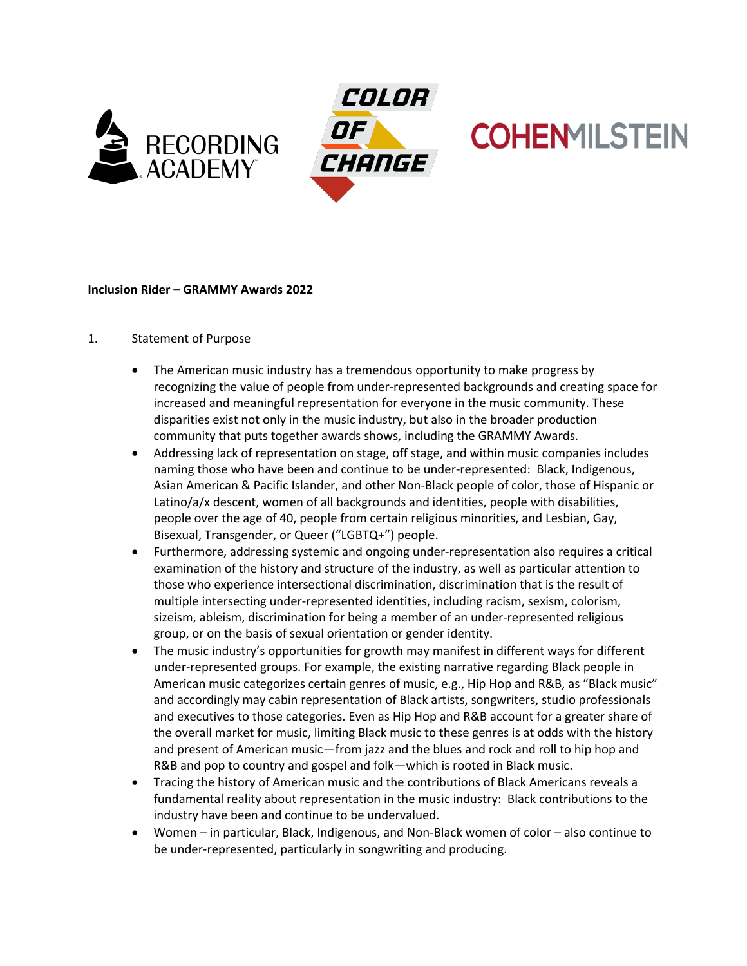



# **COHENMILSTEIN**

## **Inclusion Rider – GRAMMY Awards 2022**

### 1. Statement of Purpose

- The American music industry has a tremendous opportunity to make progress by recognizing the value of people from under-represented backgrounds and creating space for increased and meaningful representation for everyone in the music community. These disparities exist not only in the music industry, but also in the broader production community that puts together awards shows, including the GRAMMY Awards.
- Addressing lack of representation on stage, off stage, and within music companies includes naming those who have been and continue to be under-represented: Black, Indigenous, Asian American & Pacific Islander, and other Non-Black people of color, those of Hispanic or Latino/a/x descent, women of all backgrounds and identities, people with disabilities, people over the age of 40, people from certain religious minorities, and Lesbian, Gay, Bisexual, Transgender, or Queer ("LGBTQ+") people.
- Furthermore, addressing systemic and ongoing under-representation also requires a critical examination of the history and structure of the industry, as well as particular attention to those who experience intersectional discrimination, discrimination that is the result of multiple intersecting under-represented identities, including racism, sexism, colorism, sizeism, ableism, discrimination for being a member of an under-represented religious group, or on the basis of sexual orientation or gender identity.
- The music industry's opportunities for growth may manifest in different ways for different under-represented groups. For example, the existing narrative regarding Black people in American music categorizes certain genres of music, e.g., Hip Hop and R&B, as "Black music" and accordingly may cabin representation of Black artists, songwriters, studio professionals and executives to those categories. Even as Hip Hop and R&B account for a greater share of the overall market for music, limiting Black music to these genres is at odds with the history and present of American music—from jazz and the blues and rock and roll to hip hop and R&B and pop to country and gospel and folk—which is rooted in Black music.
- Tracing the history of American music and the contributions of Black Americans reveals a fundamental reality about representation in the music industry: Black contributions to the industry have been and continue to be undervalued.
- Women in particular, Black, Indigenous, and Non-Black women of color also continue to be under-represented, particularly in songwriting and producing.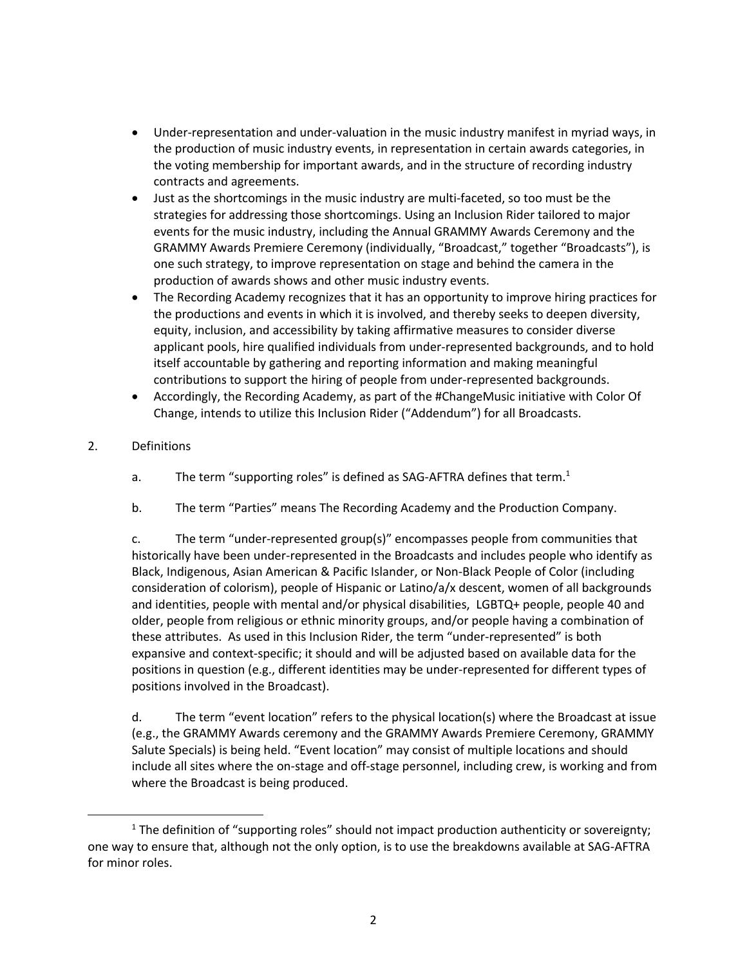- Under-representation and under-valuation in the music industry manifest in myriad ways, in the production of music industry events, in representation in certain awards categories, in the voting membership for important awards, and in the structure of recording industry contracts and agreements.
- Just as the shortcomings in the music industry are multi-faceted, so too must be the strategies for addressing those shortcomings. Using an Inclusion Rider tailored to major events for the music industry, including the Annual GRAMMY Awards Ceremony and the GRAMMY Awards Premiere Ceremony (individually, "Broadcast," together "Broadcasts"), is one such strategy, to improve representation on stage and behind the camera in the production of awards shows and other music industry events.
- The Recording Academy recognizes that it has an opportunity to improve hiring practices for the productions and events in which it is involved, and thereby seeks to deepen diversity, equity, inclusion, and accessibility by taking affirmative measures to consider diverse applicant pools, hire qualified individuals from under-represented backgrounds, and to hold itself accountable by gathering and reporting information and making meaningful contributions to support the hiring of people from under-represented backgrounds.
- Accordingly, the Recording Academy, as part of the #ChangeMusic initiative with Color Of Change, intends to utilize this Inclusion Rider ("Addendum") for all Broadcasts.

## 2. Definitions

- a. The term "supporting roles" is defined as SAG-AFTRA defines that term.<sup>1</sup>
- b. The term "Parties" means The Recording Academy and the Production Company.

c. The term "under-represented group(s)" encompasses people from communities that historically have been under-represented in the Broadcasts and includes people who identify as Black, Indigenous, Asian American & Pacific Islander, or Non-Black People of Color (including consideration of colorism), people of Hispanic or Latino/a/x descent, women of all backgrounds and identities, people with mental and/or physical disabilities, LGBTQ+ people, people 40 and older, people from religious or ethnic minority groups, and/or people having a combination of these attributes. As used in this Inclusion Rider, the term "under-represented" is both expansive and context-specific; it should and will be adjusted based on available data for the positions in question (e.g., different identities may be under-represented for different types of positions involved in the Broadcast).

d. The term "event location" refers to the physical location(s) where the Broadcast at issue (e.g., the GRAMMY Awards ceremony and the GRAMMY Awards Premiere Ceremony, GRAMMY Salute Specials) is being held. "Event location" may consist of multiple locations and should include all sites where the on-stage and off-stage personnel, including crew, is working and from where the Broadcast is being produced.

<sup>&</sup>lt;sup>1</sup> The definition of "supporting roles" should not impact production authenticity or sovereignty; one way to ensure that, although not the only option, is to use the breakdowns available at SAG-AFTRA for minor roles.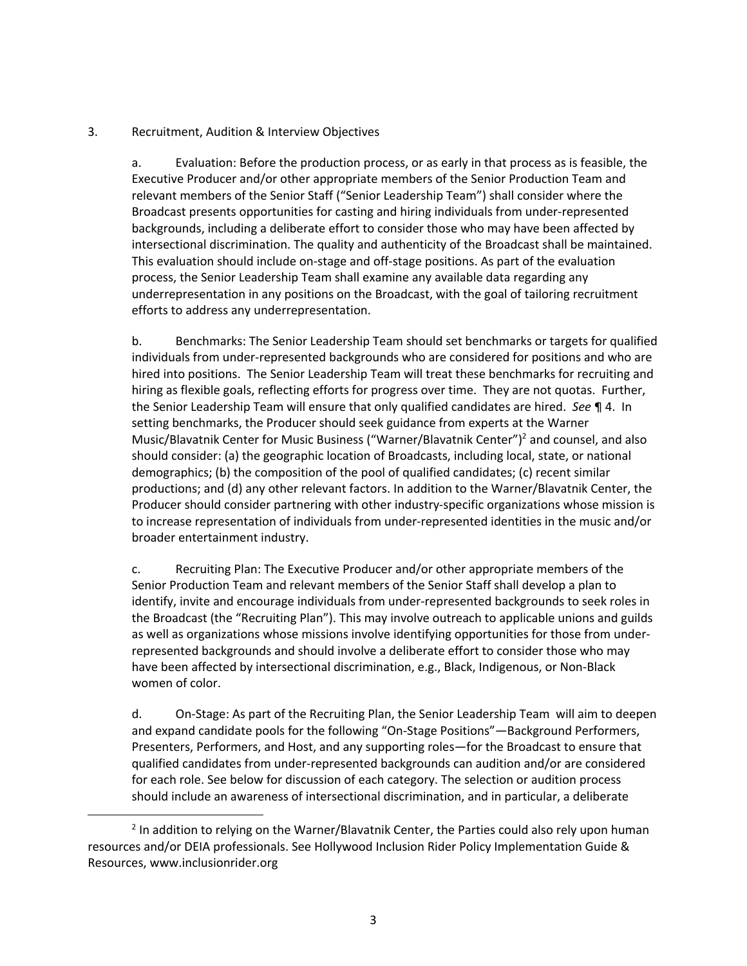#### 3. Recruitment, Audition & Interview Objectives

a. Evaluation: Before the production process, or as early in that process as is feasible, the Executive Producer and/or other appropriate members of the Senior Production Team and relevant members of the Senior Staff ("Senior Leadership Team") shall consider where the Broadcast presents opportunities for casting and hiring individuals from under-represented backgrounds, including a deliberate effort to consider those who may have been affected by intersectional discrimination. The quality and authenticity of the Broadcast shall be maintained. This evaluation should include on-stage and off-stage positions. As part of the evaluation process, the Senior Leadership Team shall examine any available data regarding any underrepresentation in any positions on the Broadcast, with the goal of tailoring recruitment efforts to address any underrepresentation.

b. Benchmarks: The Senior Leadership Team should set benchmarks or targets for qualified individuals from under-represented backgrounds who are considered for positions and who are hired into positions. The Senior Leadership Team will treat these benchmarks for recruiting and hiring as flexible goals, reflecting efforts for progress over time. They are not quotas. Further, the Senior Leadership Team will ensure that only qualified candidates are hired. *See* ¶ 4. In setting benchmarks, the Producer should seek guidance from experts at the Warner Music/Blavatnik Center for Music Business ("Warner/Blavatnik Center")<sup>2</sup> and counsel, and also should consider: (a) the geographic location of Broadcasts, including local, state, or national demographics; (b) the composition of the pool of qualified candidates; (c) recent similar productions; and (d) any other relevant factors. In addition to the Warner/Blavatnik Center, the Producer should consider partnering with other industry-specific organizations whose mission is to increase representation of individuals from under-represented identities in the music and/or broader entertainment industry.

c. Recruiting Plan: The Executive Producer and/or other appropriate members of the Senior Production Team and relevant members of the Senior Staff shall develop a plan to identify, invite and encourage individuals from under-represented backgrounds to seek roles in the Broadcast (the "Recruiting Plan"). This may involve outreach to applicable unions and guilds as well as organizations whose missions involve identifying opportunities for those from underrepresented backgrounds and should involve a deliberate effort to consider those who may have been affected by intersectional discrimination, e.g., Black, Indigenous, or Non-Black women of color.

d. On-Stage: As part of the Recruiting Plan, the Senior Leadership Team will aim to deepen and expand candidate pools for the following "On-Stage Positions"—Background Performers, Presenters, Performers, and Host, and any supporting roles—for the Broadcast to ensure that qualified candidates from under-represented backgrounds can audition and/or are considered for each role. See below for discussion of each category. The selection or audition process should include an awareness of intersectional discrimination, and in particular, a deliberate

 $2$  In addition to relying on the Warner/Blavatnik Center, the Parties could also rely upon human resources and/or DEIA professionals. See Hollywood Inclusion Rider Policy Implementation Guide & Resources, www.inclusionrider.org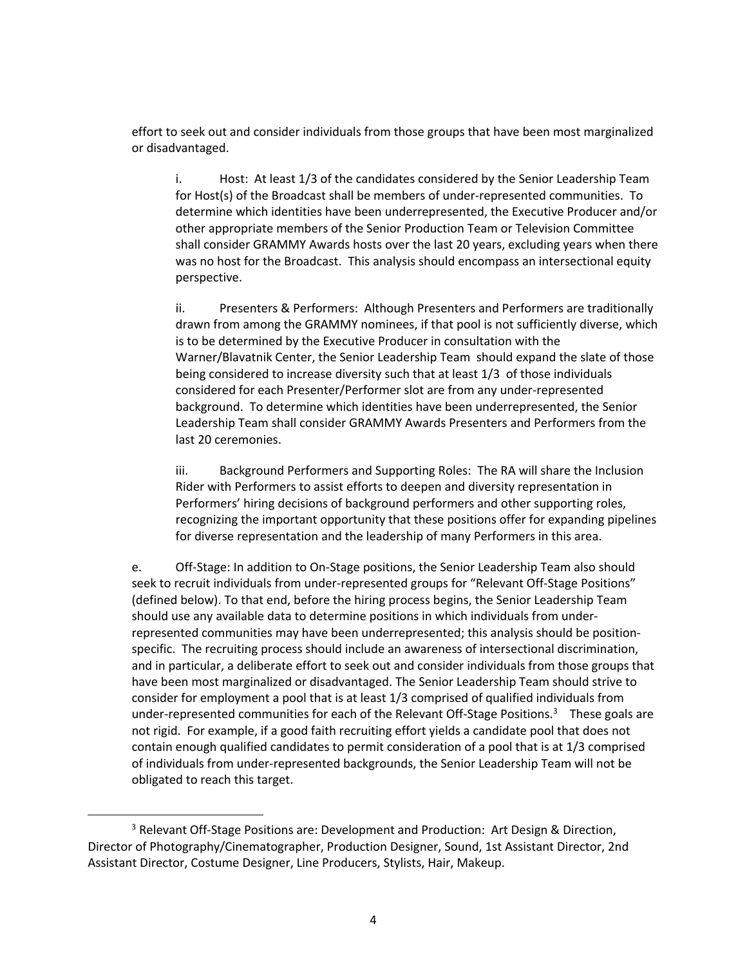effort to seek out and consider individuals from those groups that have been most marginalized or disadvantaged.

i. Host: At least 1/3 of the candidates considered by the Senior Leadership Team for Host(s) of the Broadcast shall be members of under-represented communities. To determine which identities have been underrepresented, the Executive Producer and/or other appropriate members of the Senior Production Team or Television Committee shall consider GRAMMY Awards hosts over the last 20 years, excluding years when there was no host for the Broadcast. This analysis should encompass an intersectional equity perspective.

ii. Presenters & Performers: Although Presenters and Performers are traditionally drawn from among the GRAMMY nominees, if that pool is not sufficiently diverse, which is to be determined by the Executive Producer in consultation with the Warner/Blavatnik Center, the Senior Leadership Team should expand the slate of those being considered to increase diversity such that at least 1/3 of those individuals considered for each Presenter/Performer slot are from any under-represented background. To determine which identities have been underrepresented, the Senior Leadership Team shall consider GRAMMY Awards Presenters and Performers from the last 20 ceremonies.

iii. Background Performers and Supporting Roles: The RA will share the Inclusion Rider with Performers to assist efforts to deepen and diversity representation in Performers' hiring decisions of background performers and other supporting roles, recognizing the important opportunity that these positions offer for expanding pipelines for diverse representation and the leadership of many Performers in this area.

e. Off-Stage: In addition to On-Stage positions, the Senior Leadership Team also should seek to recruit individuals from under-represented groups for "Relevant Off-Stage Positions" (defined below). To that end, before the hiring process begins, the Senior Leadership Team should use any available data to determine positions in which individuals from underrepresented communities may have been underrepresented; this analysis should be positionspecific. The recruiting process should include an awareness of intersectional discrimination, and in particular, a deliberate effort to seek out and consider individuals from those groups that have been most marginalized or disadvantaged. The Senior Leadership Team should strive to consider for employment a pool that is at least 1/3 comprised of qualified individuals from under-represented communities for each of the Relevant Off-Stage Positions.<sup>3</sup> These goals are not rigid. For example, if a good faith recruiting effort yields a candidate pool that does not contain enough qualified candidates to permit consideration of a pool that is at 1/3 comprised of individuals from under-represented backgrounds, the Senior Leadership Team will not be obligated to reach this target.

 $3$  Relevant Off-Stage Positions are: Development and Production: Art Design & Direction, Director of Photography/Cinematographer, Production Designer, Sound, 1st Assistant Director, 2nd Assistant Director, Costume Designer, Line Producers, Stylists, Hair, Makeup.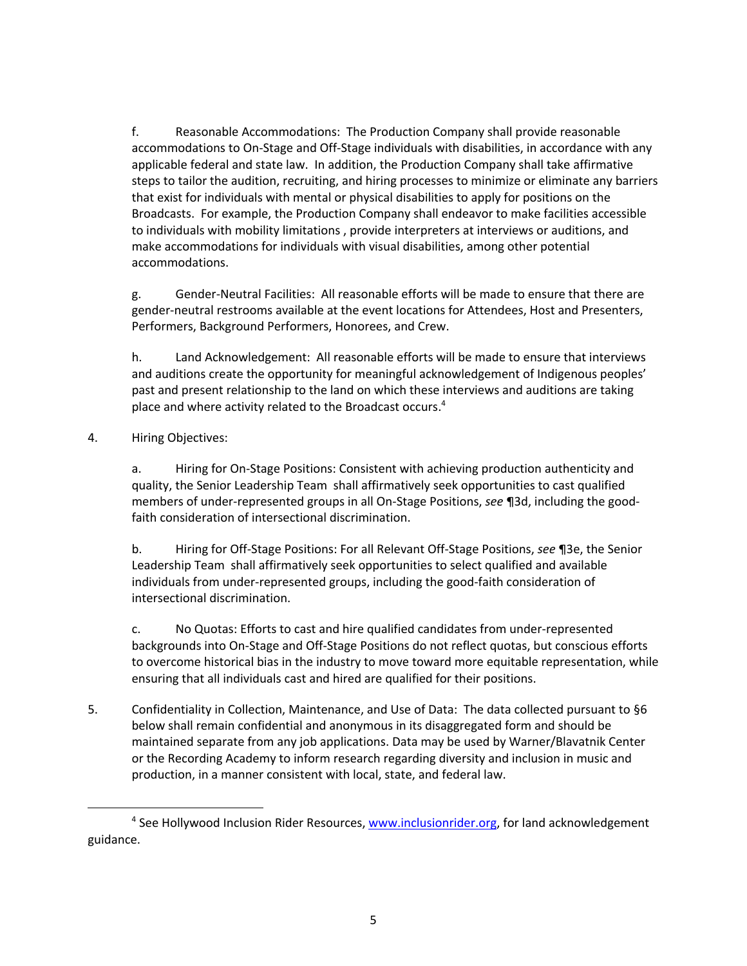f. Reasonable Accommodations: The Production Company shall provide reasonable accommodations to On-Stage and Off-Stage individuals with disabilities, in accordance with any applicable federal and state law. In addition, the Production Company shall take affirmative steps to tailor the audition, recruiting, and hiring processes to minimize or eliminate any barriers that exist for individuals with mental or physical disabilities to apply for positions on the Broadcasts. For example, the Production Company shall endeavor to make facilities accessible to individuals with mobility limitations , provide interpreters at interviews or auditions, and make accommodations for individuals with visual disabilities, among other potential accommodations.

g. Gender-Neutral Facilities: All reasonable efforts will be made to ensure that there are gender-neutral restrooms available at the event locations for Attendees, Host and Presenters, Performers, Background Performers, Honorees, and Crew.

h. Land Acknowledgement: All reasonable efforts will be made to ensure that interviews and auditions create the opportunity for meaningful acknowledgement of Indigenous peoples' past and present relationship to the land on which these interviews and auditions are taking place and where activity related to the Broadcast occurs.<sup>4</sup>

4. Hiring Objectives:

a. Hiring for On-Stage Positions: Consistent with achieving production authenticity and quality, the Senior Leadership Team shall affirmatively seek opportunities to cast qualified members of under-represented groups in all On-Stage Positions, *see* ¶3d, including the goodfaith consideration of intersectional discrimination.

b. Hiring for Off-Stage Positions: For all Relevant Off-Stage Positions, *see* ¶3e, the Senior Leadership Team shall affirmatively seek opportunities to select qualified and available individuals from under-represented groups, including the good-faith consideration of intersectional discrimination.

c. No Quotas: Efforts to cast and hire qualified candidates from under-represented backgrounds into On-Stage and Off-Stage Positions do not reflect quotas, but conscious efforts to overcome historical bias in the industry to move toward more equitable representation, while ensuring that all individuals cast and hired are qualified for their positions.

5. Confidentiality in Collection, Maintenance, and Use of Data: The data collected pursuant to §6 below shall remain confidential and anonymous in its disaggregated form and should be maintained separate from any job applications. Data may be used by Warner/Blavatnik Center or the Recording Academy to inform research regarding diversity and inclusion in music and production, in a manner consistent with local, state, and federal law.

<sup>&</sup>lt;sup>4</sup> See Hollywood Inclusion Rider Resources, www.inclusionrider.org, for land acknowledgement guidance.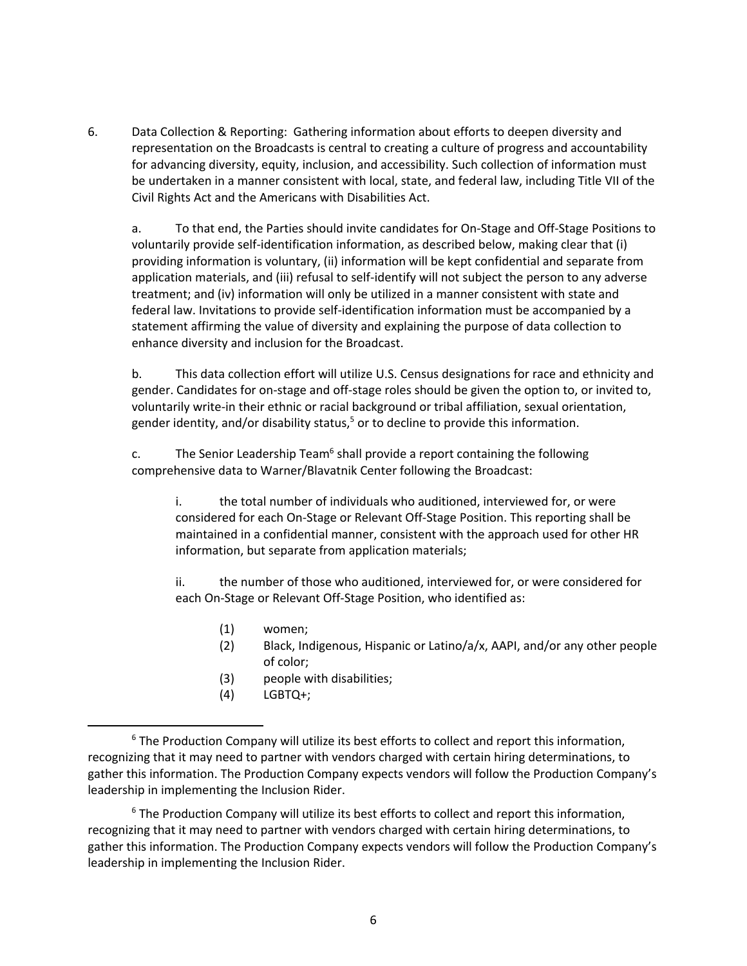6. Data Collection & Reporting: Gathering information about efforts to deepen diversity and representation on the Broadcasts is central to creating a culture of progress and accountability for advancing diversity, equity, inclusion, and accessibility. Such collection of information must be undertaken in a manner consistent with local, state, and federal law, including Title VII of the Civil Rights Act and the Americans with Disabilities Act.

a. To that end, the Parties should invite candidates for On-Stage and Off-Stage Positions to voluntarily provide self-identification information, as described below, making clear that (i) providing information is voluntary, (ii) information will be kept confidential and separate from application materials, and (iii) refusal to self-identify will not subject the person to any adverse treatment; and (iv) information will only be utilized in a manner consistent with state and federal law. Invitations to provide self-identification information must be accompanied by a statement affirming the value of diversity and explaining the purpose of data collection to enhance diversity and inclusion for the Broadcast.

b. This data collection effort will utilize U.S. Census designations for race and ethnicity and gender. Candidates for on-stage and off-stage roles should be given the option to, or invited to, voluntarily write-in their ethnic or racial background or tribal affiliation, sexual orientation, gender identity, and/or disability status, <sup>5</sup> or to decline to provide this information.

c. The Senior Leadership Team<sup>6</sup> shall provide a report containing the following comprehensive data to Warner/Blavatnik Center following the Broadcast:

i. the total number of individuals who auditioned, interviewed for, or were considered for each On-Stage or Relevant Off-Stage Position. This reporting shall be maintained in a confidential manner, consistent with the approach used for other HR information, but separate from application materials;

ii. the number of those who auditioned, interviewed for, or were considered for each On-Stage or Relevant Off-Stage Position, who identified as:

- (1) women;
- (2) Black, Indigenous, Hispanic or Latino/a/x, AAPI, and/or any other people of color;
- (3) people with disabilities;
- (4) LGBTQ+;

 $6$  The Production Company will utilize its best efforts to collect and report this information, recognizing that it may need to partner with vendors charged with certain hiring determinations, to gather this information. The Production Company expects vendors will follow the Production Company's leadership in implementing the Inclusion Rider.

<sup>&</sup>lt;sup>6</sup> The Production Company will utilize its best efforts to collect and report this information, recognizing that it may need to partner with vendors charged with certain hiring determinations, to gather this information. The Production Company expects vendors will follow the Production Company's leadership in implementing the Inclusion Rider.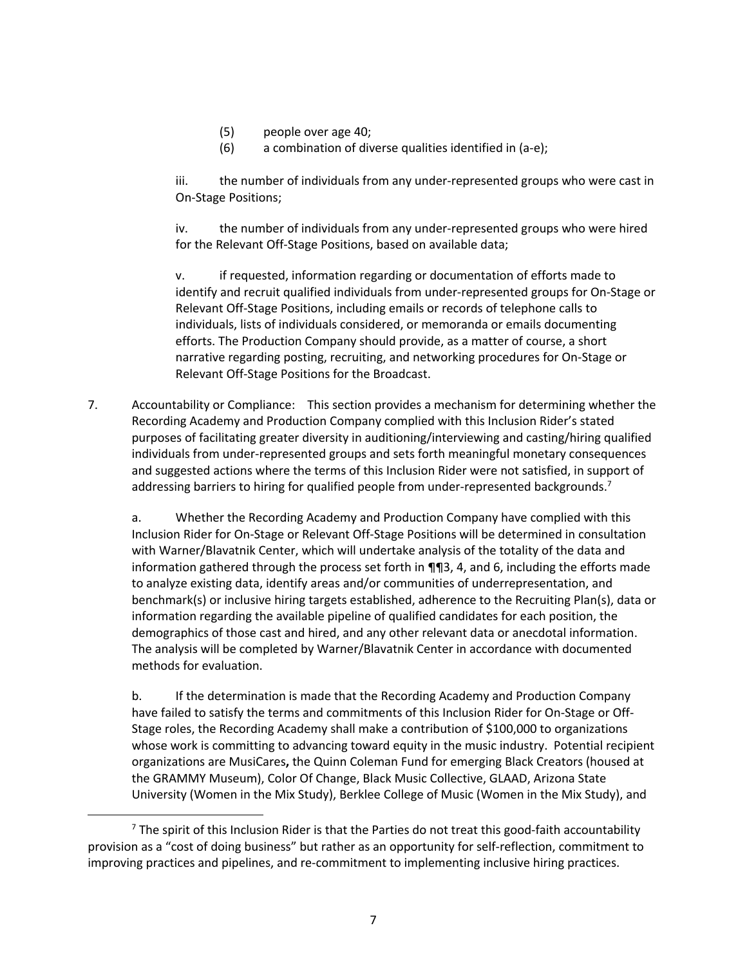- (5) people over age 40;
- (6) a combination of diverse qualities identified in (a-e);

iii. the number of individuals from any under-represented groups who were cast in On-Stage Positions;

iv. the number of individuals from any under-represented groups who were hired for the Relevant Off-Stage Positions, based on available data;

v. if requested, information regarding or documentation of efforts made to identify and recruit qualified individuals from under-represented groups for On-Stage or Relevant Off-Stage Positions, including emails or records of telephone calls to individuals, lists of individuals considered, or memoranda or emails documenting efforts. The Production Company should provide, as a matter of course, a short narrative regarding posting, recruiting, and networking procedures for On-Stage or Relevant Off-Stage Positions for the Broadcast.

7. Accountability or Compliance: This section provides a mechanism for determining whether the Recording Academy and Production Company complied with this Inclusion Rider's stated purposes of facilitating greater diversity in auditioning/interviewing and casting/hiring qualified individuals from under-represented groups and sets forth meaningful monetary consequences and suggested actions where the terms of this Inclusion Rider were not satisfied, in support of addressing barriers to hiring for qualified people from under-represented backgrounds.<sup>7</sup>

a. Whether the Recording Academy and Production Company have complied with this Inclusion Rider for On-Stage or Relevant Off-Stage Positions will be determined in consultation with Warner/Blavatnik Center, which will undertake analysis of the totality of the data and information gathered through the process set forth in  $\P$  $\P$ 3, 4, and 6, including the efforts made to analyze existing data, identify areas and/or communities of underrepresentation, and benchmark(s) or inclusive hiring targets established, adherence to the Recruiting Plan(s), data or information regarding the available pipeline of qualified candidates for each position, the demographics of those cast and hired, and any other relevant data or anecdotal information. The analysis will be completed by Warner/Blavatnik Center in accordance with documented methods for evaluation.

b. If the determination is made that the Recording Academy and Production Company have failed to satisfy the terms and commitments of this Inclusion Rider for On-Stage or Off-Stage roles, the Recording Academy shall make a contribution of \$100,000 to organizations whose work is committing to advancing toward equity in the music industry. Potential recipient organizations are MusiCares**,** the Quinn Coleman Fund for emerging Black Creators (housed at the GRAMMY Museum), Color Of Change, Black Music Collective, GLAAD, Arizona State University (Women in the Mix Study), Berklee College of Music (Women in the Mix Study), and

 $7$  The spirit of this Inclusion Rider is that the Parties do not treat this good-faith accountability provision as a "cost of doing business" but rather as an opportunity for self-reflection, commitment to improving practices and pipelines, and re-commitment to implementing inclusive hiring practices.